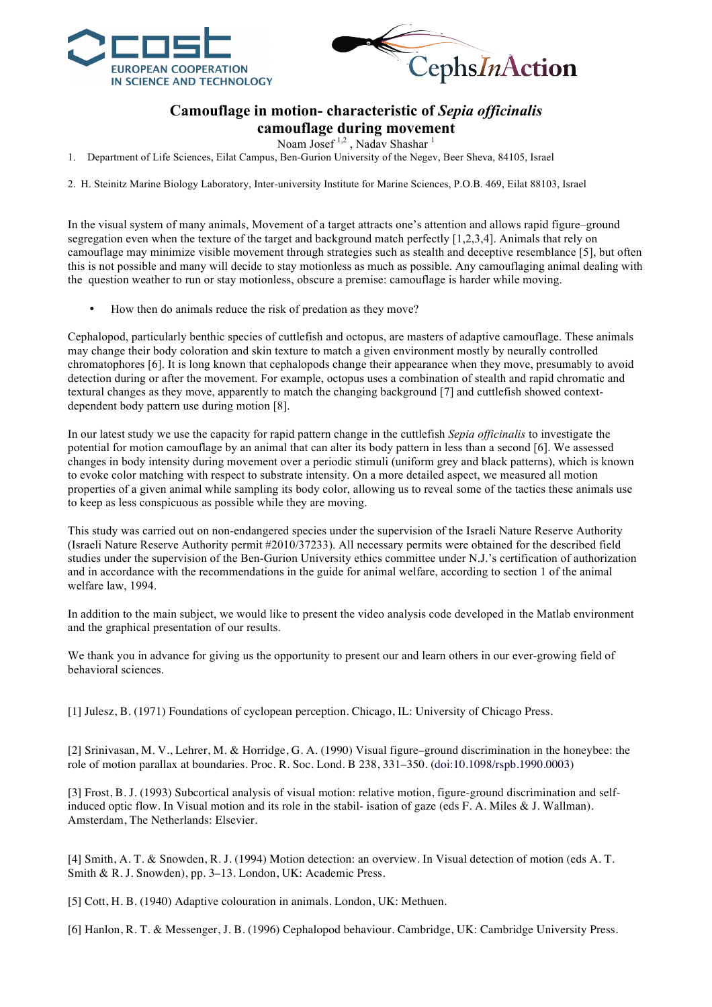



## **Camouflage in motion- characteristic of** *Sepia officinalis* **camouflage during movement**

Noam Josef<sup>1,2</sup>, Naday Shashar<sup>1</sup>

1. Department of Life Sciences, Eilat Campus, Ben-Gurion University of the Negev, Beer Sheva, 84105, Israel

2. H. Steinitz Marine Biology Laboratory, Inter-university Institute for Marine Sciences, P.O.B. 469, Eilat 88103, Israel

In the visual system of many animals, Movement of a target attracts one's attention and allows rapid figure–ground segregation even when the texture of the target and background match perfectly [1,2,3,4]. Animals that rely on camouflage may minimize visible movement through strategies such as stealth and deceptive resemblance [5], but often this is not possible and many will decide to stay motionless as much as possible. Any camouflaging animal dealing with the question weather to run or stay motionless, obscure a premise: camouflage is harder while moving.

• How then do animals reduce the risk of predation as they move?

Cephalopod, particularly benthic species of cuttlefish and octopus, are masters of adaptive camouflage. These animals may change their body coloration and skin texture to match a given environment mostly by neurally controlled chromatophores [6]. It is long known that cephalopods change their appearance when they move, presumably to avoid detection during or after the movement. For example, octopus uses a combination of stealth and rapid chromatic and textural changes as they move, apparently to match the changing background [7] and cuttlefish showed contextdependent body pattern use during motion [8].

In our latest study we use the capacity for rapid pattern change in the cuttlefish *Sepia officinalis* to investigate the potential for motion camouflage by an animal that can alter its body pattern in less than a second [6]. We assessed changes in body intensity during movement over a periodic stimuli (uniform grey and black patterns), which is known to evoke color matching with respect to substrate intensity. On a more detailed aspect, we measured all motion properties of a given animal while sampling its body color, allowing us to reveal some of the tactics these animals use to keep as less conspicuous as possible while they are moving.

This study was carried out on non-endangered species under the supervision of the Israeli Nature Reserve Authority (Israeli Nature Reserve Authority permit #2010/37233). All necessary permits were obtained for the described field studies under the supervision of the Ben-Gurion University ethics committee under N.J.'s certification of authorization and in accordance with the recommendations in the guide for animal welfare, according to section 1 of the animal welfare law, 1994.

In addition to the main subject, we would like to present the video analysis code developed in the Matlab environment and the graphical presentation of our results.

We thank you in advance for giving us the opportunity to present our and learn others in our ever-growing field of behavioral sciences.

[1] Julesz, B. (1971) Foundations of cyclopean perception. Chicago, IL: University of Chicago Press.

[2] Srinivasan, M. V., Lehrer, M. & Horridge, G. A. (1990) Visual figure–ground discrimination in the honeybee: the role of motion parallax at boundaries. Proc. R. Soc. Lond. B 238, 331–350. (doi:10.1098/rspb.1990.0003)

[3] Frost, B. J. (1993) Subcortical analysis of visual motion: relative motion, figure-ground discrimination and selfinduced optic flow. In Visual motion and its role in the stabil- isation of gaze (eds F. A. Miles & J. Wallman). Amsterdam, The Netherlands: Elsevier.

[4] Smith, A. T. & Snowden, R. J. (1994) Motion detection: an overview. In Visual detection of motion (eds A. T. Smith & R. J. Snowden), pp. 3–13. London, UK: Academic Press.

[5] Cott, H. B. (1940) Adaptive colouration in animals. London, UK: Methuen.

[6] Hanlon, R. T. & Messenger, J. B. (1996) Cephalopod behaviour. Cambridge, UK: Cambridge University Press.